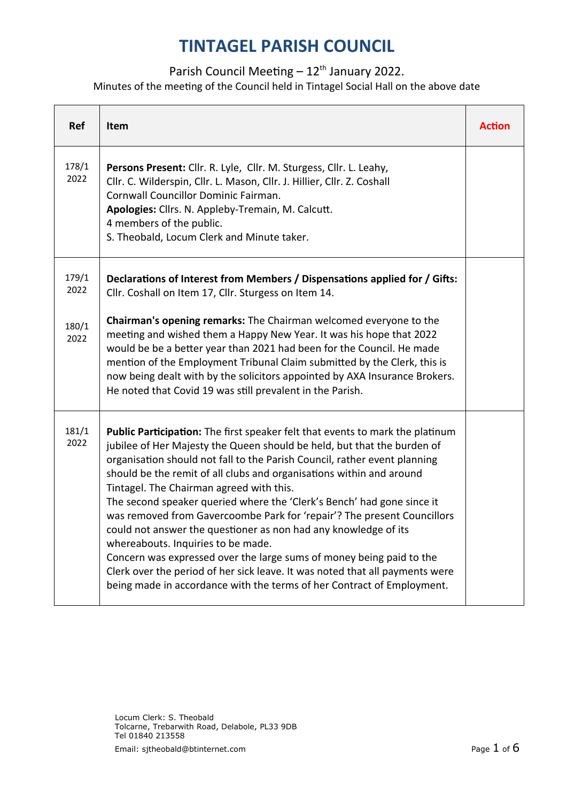#### Parish Council Meeting  $-12<sup>th</sup>$  January 2022.

Minutes of the meeting of the Council held in Tintagel Social Hall on the above date

| Ref           | Item                                                                                                                                                                                                                                                                                                                                                                                                                                                                                                                                                                                                                                                                                                                                                                                                                                                      | <b>Action</b> |
|---------------|-----------------------------------------------------------------------------------------------------------------------------------------------------------------------------------------------------------------------------------------------------------------------------------------------------------------------------------------------------------------------------------------------------------------------------------------------------------------------------------------------------------------------------------------------------------------------------------------------------------------------------------------------------------------------------------------------------------------------------------------------------------------------------------------------------------------------------------------------------------|---------------|
| 178/1<br>2022 | Persons Present: Cllr. R. Lyle, Cllr. M. Sturgess, Cllr. L. Leahy,<br>Cllr. C. Wilderspin, Cllr. L. Mason, Cllr. J. Hillier, Cllr. Z. Coshall<br>Cornwall Councillor Dominic Fairman.<br>Apologies: Cllrs. N. Appleby-Tremain, M. Calcutt.<br>4 members of the public.<br>S. Theobald, Locum Clerk and Minute taker.                                                                                                                                                                                                                                                                                                                                                                                                                                                                                                                                      |               |
| 179/1<br>2022 | Declarations of Interest from Members / Dispensations applied for / Gifts:<br>Cllr. Coshall on Item 17, Cllr. Sturgess on Item 14.                                                                                                                                                                                                                                                                                                                                                                                                                                                                                                                                                                                                                                                                                                                        |               |
| 180/1<br>2022 | Chairman's opening remarks: The Chairman welcomed everyone to the<br>meeting and wished them a Happy New Year. It was his hope that 2022<br>would be be a better year than 2021 had been for the Council. He made<br>mention of the Employment Tribunal Claim submitted by the Clerk, this is<br>now being dealt with by the solicitors appointed by AXA Insurance Brokers.<br>He noted that Covid 19 was still prevalent in the Parish.                                                                                                                                                                                                                                                                                                                                                                                                                  |               |
| 181/1<br>2022 | Public Participation: The first speaker felt that events to mark the platinum<br>jubilee of Her Majesty the Queen should be held, but that the burden of<br>organisation should not fall to the Parish Council, rather event planning<br>should be the remit of all clubs and organisations within and around<br>Tintagel. The Chairman agreed with this.<br>The second speaker queried where the 'Clerk's Bench' had gone since it<br>was removed from Gavercoombe Park for 'repair'? The present Councillors<br>could not answer the questioner as non had any knowledge of its<br>whereabouts. Inquiries to be made.<br>Concern was expressed over the large sums of money being paid to the<br>Clerk over the period of her sick leave. It was noted that all payments were<br>being made in accordance with the terms of her Contract of Employment. |               |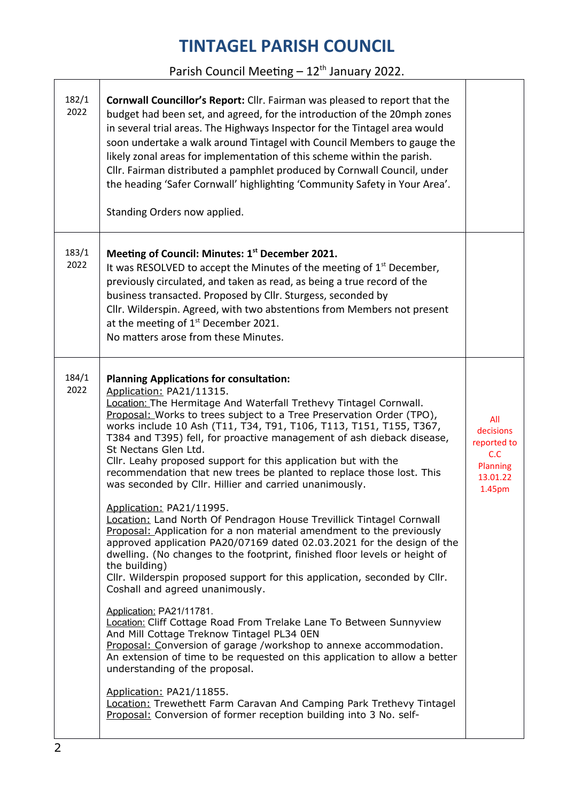### Parish Council Meeting  $-12^{th}$  January 2022.

٦

| 182/1<br>2022 | Cornwall Councillor's Report: Cllr. Fairman was pleased to report that the<br>budget had been set, and agreed, for the introduction of the 20mph zones<br>in several trial areas. The Highways Inspector for the Tintagel area would<br>soon undertake a walk around Tintagel with Council Members to gauge the<br>likely zonal areas for implementation of this scheme within the parish.<br>Cllr. Fairman distributed a pamphlet produced by Cornwall Council, under<br>the heading 'Safer Cornwall' highlighting 'Community Safety in Your Area'.<br>Standing Orders now applied.               |                                                                          |
|---------------|----------------------------------------------------------------------------------------------------------------------------------------------------------------------------------------------------------------------------------------------------------------------------------------------------------------------------------------------------------------------------------------------------------------------------------------------------------------------------------------------------------------------------------------------------------------------------------------------------|--------------------------------------------------------------------------|
| 183/1<br>2022 | Meeting of Council: Minutes: 1st December 2021.<br>It was RESOLVED to accept the Minutes of the meeting of $1st$ December,<br>previously circulated, and taken as read, as being a true record of the<br>business transacted. Proposed by Cllr. Sturgess, seconded by<br>Cllr. Wilderspin. Agreed, with two abstentions from Members not present<br>at the meeting of $1st$ December 2021.<br>No matters arose from these Minutes.                                                                                                                                                                 |                                                                          |
| 184/1<br>2022 | <b>Planning Applications for consultation:</b><br>Application: PA21/11315.<br>Location: The Hermitage And Waterfall Trethevy Tintagel Cornwall.<br>Proposal: Works to trees subject to a Tree Preservation Order (TPO),<br>works include 10 Ash (T11, T34, T91, T106, T113, T151, T155, T367,<br>T384 and T395) fell, for proactive management of ash dieback disease,<br>St Nectans Glen Ltd.<br>Cllr. Leahy proposed support for this application but with the<br>recommendation that new trees be planted to replace those lost. This<br>was seconded by Cllr. Hillier and carried unanimously. | All<br>decisions<br>reported to<br>C.C<br>Planning<br>13.01.22<br>1.45pm |
|               | Application: PA21/11995.<br>Location: Land North Of Pendragon House Trevillick Tintagel Cornwall<br>Proposal: Application for a non material amendment to the previously<br>approved application PA20/07169 dated 02.03.2021 for the design of the<br>dwelling. (No changes to the footprint, finished floor levels or height of<br>the building)<br>Cllr. Wilderspin proposed support for this application, seconded by Cllr.<br>Coshall and agreed unanimously.                                                                                                                                  |                                                                          |
|               | Application: PA21/11781.<br>Location: Cliff Cottage Road From Trelake Lane To Between Sunnyview<br>And Mill Cottage Treknow Tintagel PL34 0EN<br>Proposal: Conversion of garage /workshop to annexe accommodation.<br>An extension of time to be requested on this application to allow a better<br>understanding of the proposal.                                                                                                                                                                                                                                                                 |                                                                          |
|               | Application: PA21/11855.<br>Location: Trewethett Farm Caravan And Camping Park Trethevy Tintagel<br>Proposal: Conversion of former reception building into 3 No. self-                                                                                                                                                                                                                                                                                                                                                                                                                             |                                                                          |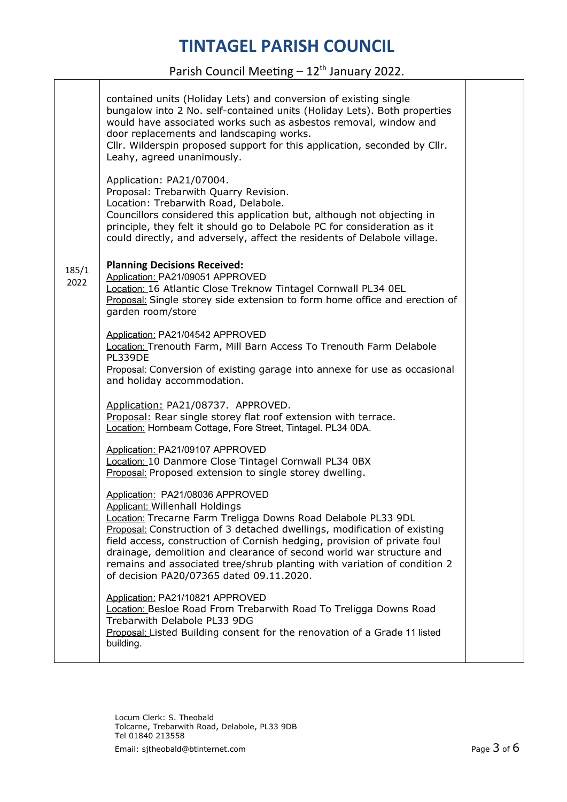#### Parish Council Meeting  $-12^{th}$  January 2022.

|               | contained units (Holiday Lets) and conversion of existing single<br>bungalow into 2 No. self-contained units (Holiday Lets). Both properties<br>would have associated works such as asbestos removal, window and<br>door replacements and landscaping works.<br>Cllr. Wilderspin proposed support for this application, seconded by Cllr.<br>Leahy, agreed unanimously.                                                                                                                            |  |
|---------------|----------------------------------------------------------------------------------------------------------------------------------------------------------------------------------------------------------------------------------------------------------------------------------------------------------------------------------------------------------------------------------------------------------------------------------------------------------------------------------------------------|--|
|               | Application: PA21/07004.<br>Proposal: Trebarwith Quarry Revision.<br>Location: Trebarwith Road, Delabole.<br>Councillors considered this application but, although not objecting in<br>principle, they felt it should go to Delabole PC for consideration as it<br>could directly, and adversely, affect the residents of Delabole village.                                                                                                                                                        |  |
| 185/1<br>2022 | <b>Planning Decisions Received:</b><br>Application: PA21/09051 APPROVED<br>Location: 16 Atlantic Close Treknow Tintagel Cornwall PL34 OEL<br>Proposal: Single storey side extension to form home office and erection of<br>garden room/store                                                                                                                                                                                                                                                       |  |
|               | Application: PA21/04542 APPROVED<br>Location: Trenouth Farm, Mill Barn Access To Trenouth Farm Delabole<br>PL339DE<br>Proposal: Conversion of existing garage into annexe for use as occasional<br>and holiday accommodation.                                                                                                                                                                                                                                                                      |  |
|               | Application: PA21/08737. APPROVED.<br>Proposal: Rear single storey flat roof extension with terrace.<br>Location: Hornbeam Cottage, Fore Street, Tintagel. PL34 0DA.                                                                                                                                                                                                                                                                                                                               |  |
|               | Application: PA21/09107 APPROVED<br>Location: 10 Danmore Close Tintagel Cornwall PL34 0BX<br>Proposal: Proposed extension to single storey dwelling.                                                                                                                                                                                                                                                                                                                                               |  |
|               | Application: PA21/08036 APPROVED<br><b>Applicant: Willenhall Holdings</b><br>Location: Trecarne Farm Treligga Downs Road Delabole PL33 9DL<br>Proposal: Construction of 3 detached dwellings, modification of existing<br>field access, construction of Cornish hedging, provision of private foul<br>drainage, demolition and clearance of second world war structure and<br>remains and associated tree/shrub planting with variation of condition 2<br>of decision PA20/07365 dated 09.11.2020. |  |
|               | Application: PA21/10821 APPROVED<br>Location: Besloe Road From Trebarwith Road To Treligga Downs Road<br>Trebarwith Delabole PL33 9DG<br>Proposal: Listed Building consent for the renovation of a Grade 11 listed<br>building.                                                                                                                                                                                                                                                                    |  |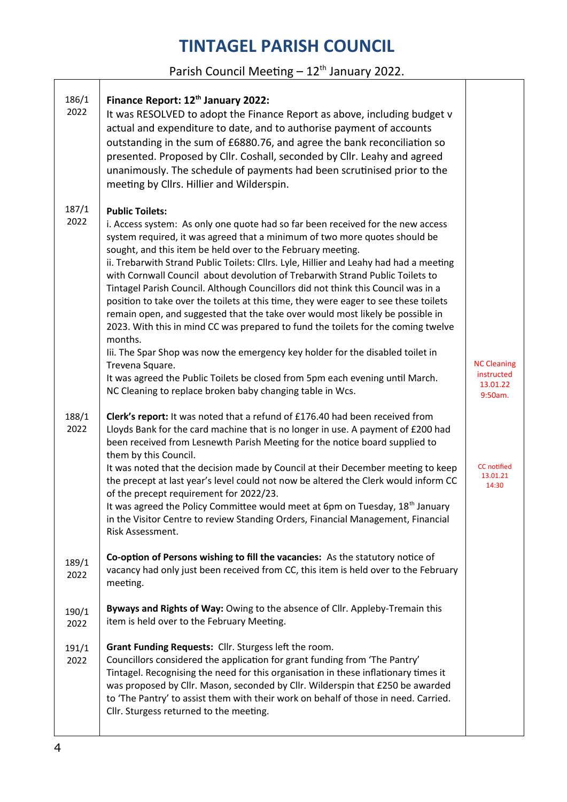### Parish Council Meeting  $-12<sup>th</sup>$  January 2022.

| 186/1<br>2022 | Finance Report: 12 <sup>th</sup> January 2022:<br>It was RESOLVED to adopt the Finance Report as above, including budget v<br>actual and expenditure to date, and to authorise payment of accounts<br>outstanding in the sum of £6880.76, and agree the bank reconciliation so<br>presented. Proposed by Cllr. Coshall, seconded by Cllr. Leahy and agreed<br>unanimously. The schedule of payments had been scrutinised prior to the<br>meeting by Cllrs. Hillier and Wilderspin.                                                                                                                                                                                                                                                                                                                                                                                                                                                                                                                                                                  |                                                         |
|---------------|-----------------------------------------------------------------------------------------------------------------------------------------------------------------------------------------------------------------------------------------------------------------------------------------------------------------------------------------------------------------------------------------------------------------------------------------------------------------------------------------------------------------------------------------------------------------------------------------------------------------------------------------------------------------------------------------------------------------------------------------------------------------------------------------------------------------------------------------------------------------------------------------------------------------------------------------------------------------------------------------------------------------------------------------------------|---------------------------------------------------------|
| 187/1<br>2022 | <b>Public Toilets:</b><br>i. Access system: As only one quote had so far been received for the new access<br>system required, it was agreed that a minimum of two more quotes should be<br>sought, and this item be held over to the February meeting.<br>ii. Trebarwith Strand Public Toilets: Cllrs. Lyle, Hillier and Leahy had had a meeting<br>with Cornwall Council about devolution of Trebarwith Strand Public Toilets to<br>Tintagel Parish Council. Although Councillors did not think this Council was in a<br>position to take over the toilets at this time, they were eager to see these toilets<br>remain open, and suggested that the take over would most likely be possible in<br>2023. With this in mind CC was prepared to fund the toilets for the coming twelve<br>months.<br>Iii. The Spar Shop was now the emergency key holder for the disabled toilet in<br>Trevena Square.<br>It was agreed the Public Toilets be closed from 5pm each evening until March.<br>NC Cleaning to replace broken baby changing table in Wcs. | <b>NC Cleaning</b><br>instructed<br>13.01.22<br>9:50am. |
| 188/1<br>2022 | Clerk's report: It was noted that a refund of £176.40 had been received from<br>Lloyds Bank for the card machine that is no longer in use. A payment of £200 had<br>been received from Lesnewth Parish Meeting for the notice board supplied to<br>them by this Council.<br>It was noted that the decision made by Council at their December meeting to keep<br>the precept at last year's level could not now be altered the Clerk would inform CC<br>of the precept requirement for 2022/23.<br>It was agreed the Policy Committee would meet at 6pm on Tuesday, $18th$ January<br>in the Visitor Centre to review Standing Orders, Financial Management, Financial<br>Risk Assessment.                                                                                                                                                                                                                                                                                                                                                           | <b>CC</b> notified<br>13.01.21<br>14:30                 |
| 189/1<br>2022 | Co-option of Persons wishing to fill the vacancies: As the statutory notice of<br>vacancy had only just been received from CC, this item is held over to the February<br>meeting.                                                                                                                                                                                                                                                                                                                                                                                                                                                                                                                                                                                                                                                                                                                                                                                                                                                                   |                                                         |
| 190/1<br>2022 | Byways and Rights of Way: Owing to the absence of Cllr. Appleby-Tremain this<br>item is held over to the February Meeting.                                                                                                                                                                                                                                                                                                                                                                                                                                                                                                                                                                                                                                                                                                                                                                                                                                                                                                                          |                                                         |
| 191/1<br>2022 | Grant Funding Requests: Cllr. Sturgess left the room.<br>Councillors considered the application for grant funding from 'The Pantry'<br>Tintagel. Recognising the need for this organisation in these inflationary times it<br>was proposed by Cllr. Mason, seconded by Cllr. Wilderspin that £250 be awarded<br>to 'The Pantry' to assist them with their work on behalf of those in need. Carried.<br>Cllr. Sturgess returned to the meeting.                                                                                                                                                                                                                                                                                                                                                                                                                                                                                                                                                                                                      |                                                         |